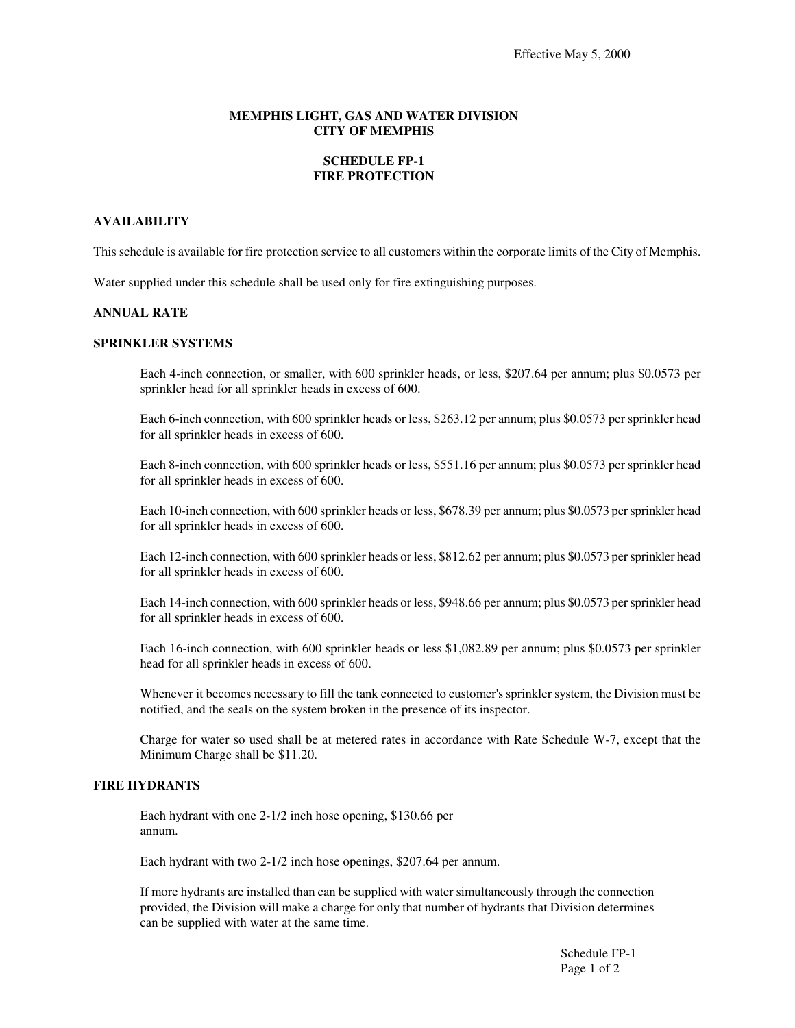#### **MEMPHIS LIGHT, GAS AND WATER DIVISION CITY OF MEMPHIS**

# **SCHEDULE FP-1 FIRE PROTECTION**

# **AVAILABILITY**

This schedule is available for fire protection service to all customers within the corporate limits of the City of Memphis.

Water supplied under this schedule shall be used only for fire extinguishing purposes.

#### **ANNUAL RATE**

### **SPRINKLER SYSTEMS**

Each 4-inch connection, or smaller, with 600 sprinkler heads, or less, \$207.64 per annum; plus \$0.0573 per sprinkler head for all sprinkler heads in excess of 600.

Each 6-inch connection, with 600 sprinkler heads or less, \$263.12 per annum; plus \$0.0573 per sprinkler head for all sprinkler heads in excess of 600.

Each 8-inch connection, with 600 sprinkler heads or less, \$551.16 per annum; plus \$0.0573 per sprinkler head for all sprinkler heads in excess of 600.

Each 10-inch connection, with 600 sprinkler heads or less, \$678.39 per annum; plus \$0.0573 persprinkler head for all sprinkler heads in excess of 600.

Each 12-inch connection, with 600 sprinkler heads or less, \$812.62 per annum; plus \$0.0573 persprinkler head for all sprinkler heads in excess of 600.

Each 14-inch connection, with 600 sprinkler heads or less, \$948.66 per annum; plus \$0.0573 persprinkler head for all sprinkler heads in excess of 600.

Each 16-inch connection, with 600 sprinkler heads or less \$1,082.89 per annum; plus \$0.0573 per sprinkler head for all sprinkler heads in excess of 600.

Whenever it becomes necessary to fill the tank connected to customer's sprinkler system, the Division must be notified, and the seals on the system broken in the presence of its inspector.

Charge for water so used shall be at metered rates in accordance with Rate Schedule W-7, except that the Minimum Charge shall be \$11.20.

### **FIRE HYDRANTS**

Each hydrant with one 2-1/2 inch hose opening, \$130.66 per annum.

Each hydrant with two 2-1/2 inch hose openings, \$207.64 per annum.

If more hydrants are installed than can be supplied with water simultaneously through the connection provided, the Division will make a charge for only that number of hydrants that Division determines can be supplied with water at the same time.